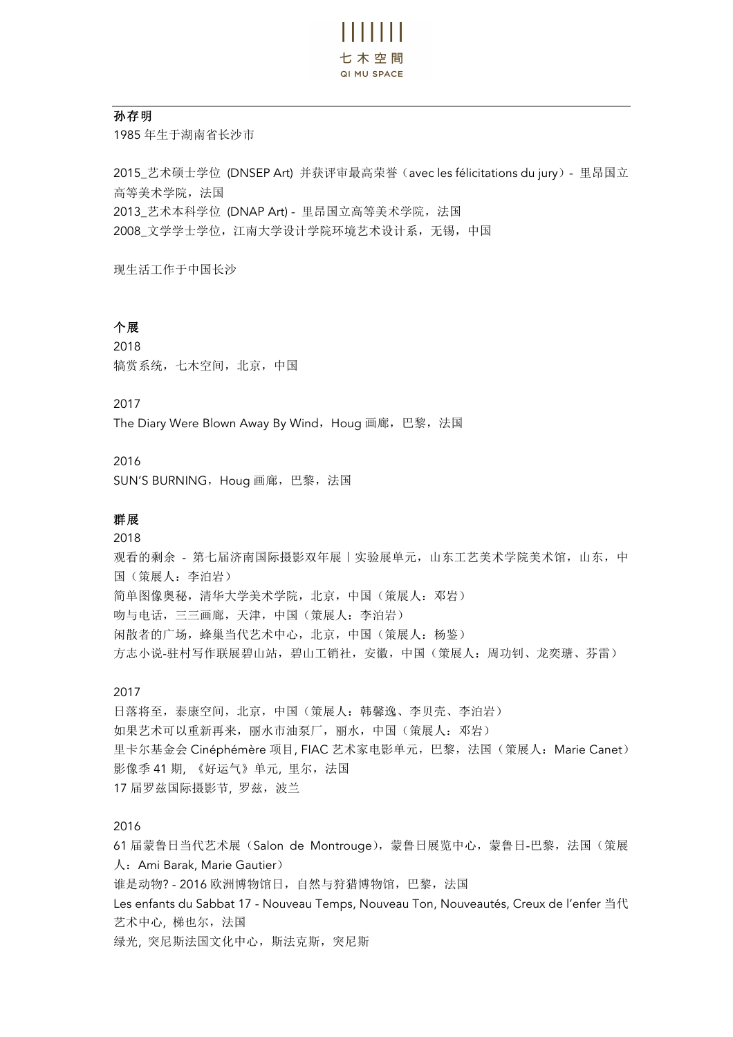

### 孙存明

1985 年生于湖南省长沙市

2015\_艺术硕士学位 (DNSEP Art) 并获评审最高荣誉(avec les félicitations du jury)- 里昂国立 高等美术学院, 法国 2013 艺术本科学位 (DNAP Art) - 里昂国立高等美术学院, 法国 2008 文学学士学位,江南大学设计学院环境艺术设计系,无锡,中国

现生活工作于中国长沙

# 个展

2018 犒赏系统,七木空间,北京,中国

2017

The Diary Were Blown Away By Wind, Houg 画廊, 巴黎, 法国

## 2016

SUN'S BURNING, Houg 画廊, 巴黎, 法国

## 群展

2018 观看的剩余 - 第七届济南国际摄影双年展 | 实验展单元, 山东工艺美术学院美术馆, 山东, 中 国(策展人:李泊岩) 简单图像奥秘,清华大学美术学院,北京,中国(策展人:邓岩) 吻与电话,三三画廊,天津,中国(策展人:李泊岩) 闲散者的广场,蜂巢当代艺术中心,北京,中国(策展人:杨鉴) 方志小说-驻村写作联展碧山站,碧山工销社,安徽,中国(策展人:周功钊、龙奕瑭、芬雷)

#### 2017

日落将至,泰康空间,北京,中国(策展人:韩馨逸、李贝壳、李泊岩) 如果艺术可以重新再来, 丽水市油泵厂, 丽水, 中国(策展人: 邓岩) 里卡尔基金会 Cinéphémère 项目, FIAC 艺术家电影单元, 巴黎, 法国(策展人: Marie Canet) 影像季 41 期, 《好运气》单元, 里尔, 法国 17 届罗兹国际摄影节, 罗兹, 波兰

### 2016

61 届蒙鲁日当代艺术展(Salon de Montrouge),蒙鲁日展览中心,蒙鲁日-巴黎,法国(策展 人:Ami Barak, Marie Gautier) 谁是动物? - 2016 欧洲博物馆日,自然与狩猎博物馆,巴黎,法国 Les enfants du Sabbat 17 - Nouveau Temps, Nouveau Ton, Nouveautés, Creux de l'enfer 当代 艺术中心, 梯也尔, 法国 绿光, 突尼斯法国文化中心,斯法克斯,突尼斯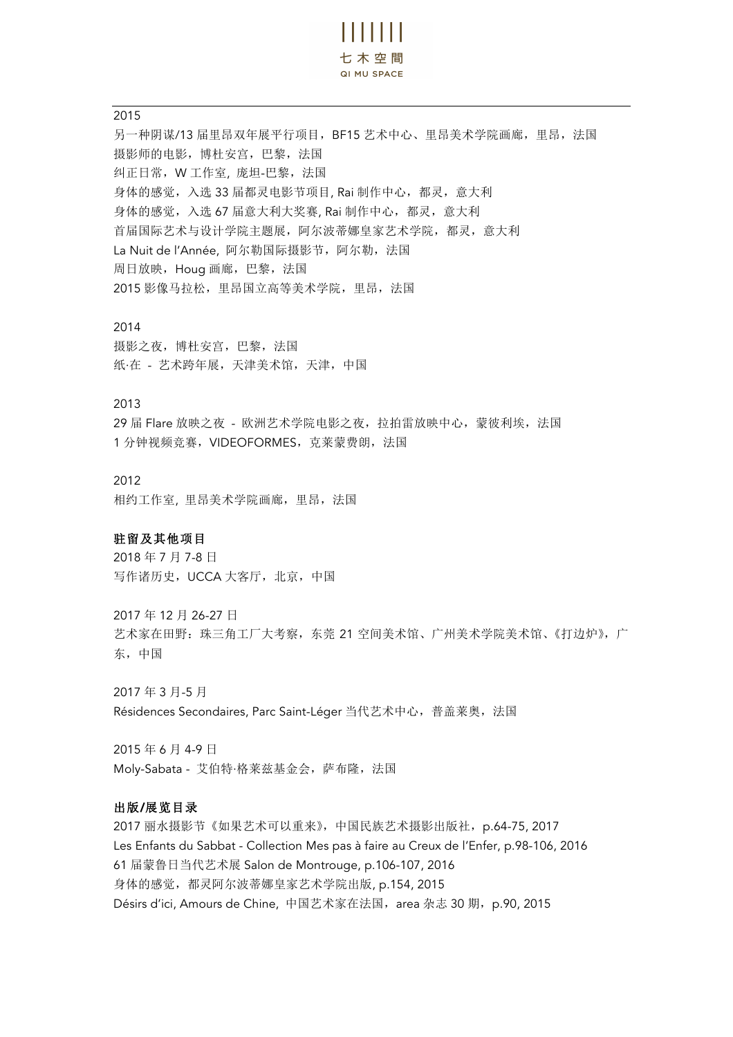$\frac{1}{2}$ 七木空間 QI MU SPACE

#### 2015

另一种阴谋/13 届里昂双年展平行项目, BF15 艺术中心、里昂美术学院画廊, 里昂, 法国 摄影师的电影,博杜安宫,巴黎,法国 纠正日常,W 工作室, 庞坦-巴黎,法国 身体的感觉,入选 33 届都灵电影节项目, Rai 制作中心,都灵,意大利 身体的感觉,入选 67 届意大利大奖赛, Rai 制作中心,都灵,意大利 首届国际艺术与设计学院主题展,阿尔波蒂娜皇家艺术学院,都灵,意大利 La Nuit de l'Année, 阿尔勒国际摄影节, 阿尔勒, 法国 周日放映, Houg 画廊, 巴黎, 法国 2015 影像马拉松,里昂国立高等美术学院,里昂,法国

#### 2014

摄影之夜,博杜安宫,巴黎,法国 纸·在 - 艺术跨年展, 天津美术馆, 天津, 中国

# 2013

29 届 Flare 放映之夜 - 欧洲艺术学院电影之夜, 拉拍雷放映中心, 蒙彼利埃, 法国 1 分钟视频竞赛, VIDEOFORMES, 克莱蒙费朗, 法国

### 2012

相约工作室, 里昂美术学院画廊,里昂,法国

### 驻留及其他项目

2018 年 7 月 7-8 日 写作诸历史,UCCA 大客厅,北京,中国

2017 年 12 月 26-27 日 艺术家在田野:珠三角工厂大考察,东莞 21 空间美术馆、广州美术学院美术馆、《打边炉》,广 东,中国

2017 年 3 月-5 月 Résidences Secondaires, Parc Saint-Léger 当代艺术中心,普盖莱奥,法国

2015 年 6 月 4-9 日 Moly-Sabata - 艾伯特·格莱兹基金会,萨布隆,法国

### 出版/展览目录

2017 丽水摄影节《如果艺术可以重来》,中国民族艺术摄影出版社,p.64-75, 2017 Les Enfants du Sabbat - Collection Mes pas à faire au Creux de l'Enfer, p.98-106, 2016 61 届蒙鲁日当代艺术展 Salon de Montrouge, p.106-107, 2016 身体的感觉,都灵阿尔波蒂娜皇家艺术学院出版, p.154, 2015 Désirs d'ici, Amours de Chine, 中国艺术家在法国, area 杂志 30 期, p.90, 2015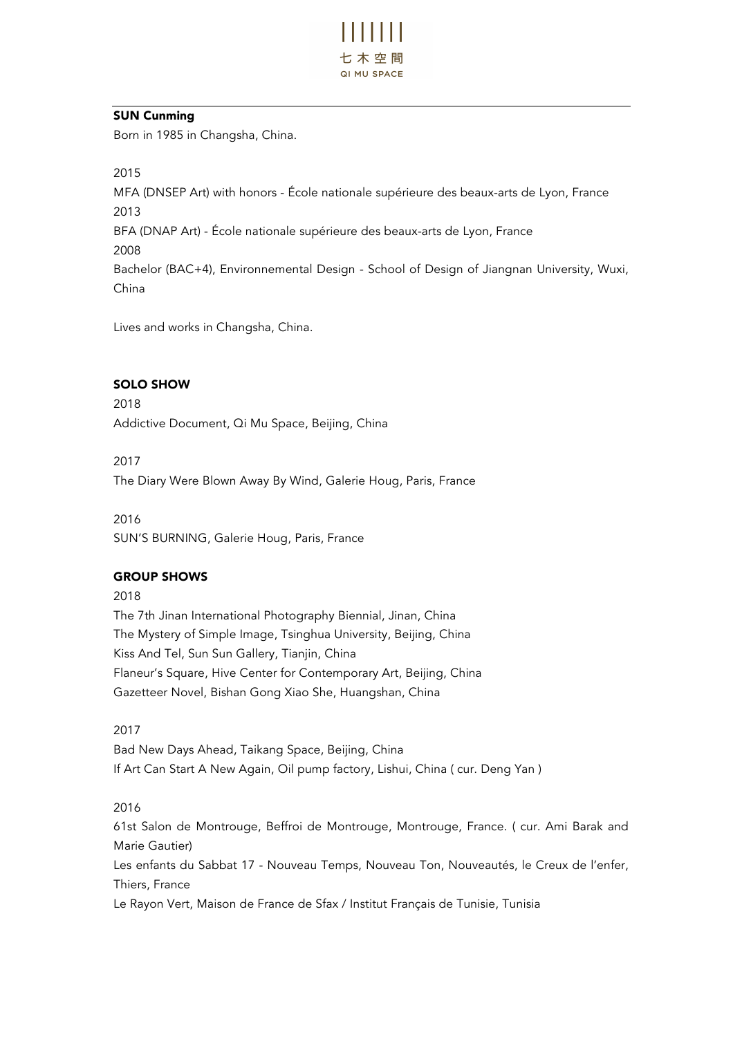

# SUN Cunming

Born in 1985 in Changsha, China.

2015

MFA (DNSEP Art) with honors - École nationale supérieure des beaux-arts de Lyon, France 2013 BFA (DNAP Art) - École nationale supérieure des beaux-arts de Lyon, France 2008 Bachelor (BAC+4), Environnemental Design - School of Design of Jiangnan University, Wuxi, China

Lives and works in Changsha, China.

# SOLO SHOW

2018 Addictive Document, Qi Mu Space, Beijing, China

2017

The Diary Were Blown Away By Wind, Galerie Houg, Paris, France

2016

SUN'S BURNING, Galerie Houg, Paris, France

# GROUP SHOWS

2018

The 7th Jinan International Photography Biennial, Jinan, China The Mystery of Simple Image, Tsinghua University, Beijing, China Kiss And Tel, Sun Sun Gallery, Tianjin, China Flaneur's Square, Hive Center for Contemporary Art, Beijing, China Gazetteer Novel, Bishan Gong Xiao She, Huangshan, China

2017

Bad New Days Ahead, Taikang Space, Beijing, China If Art Can Start A New Again, Oil pump factory, Lishui, China ( cur. Deng Yan )

2016

61st Salon de Montrouge, Beffroi de Montrouge, Montrouge, France. ( cur. Ami Barak and Marie Gautier) Les enfants du Sabbat 17 - Nouveau Temps, Nouveau Ton, Nouveautés, le Creux de l'enfer, Thiers, France

Le Rayon Vert, Maison de France de Sfax / Institut Français de Tunisie, Tunisia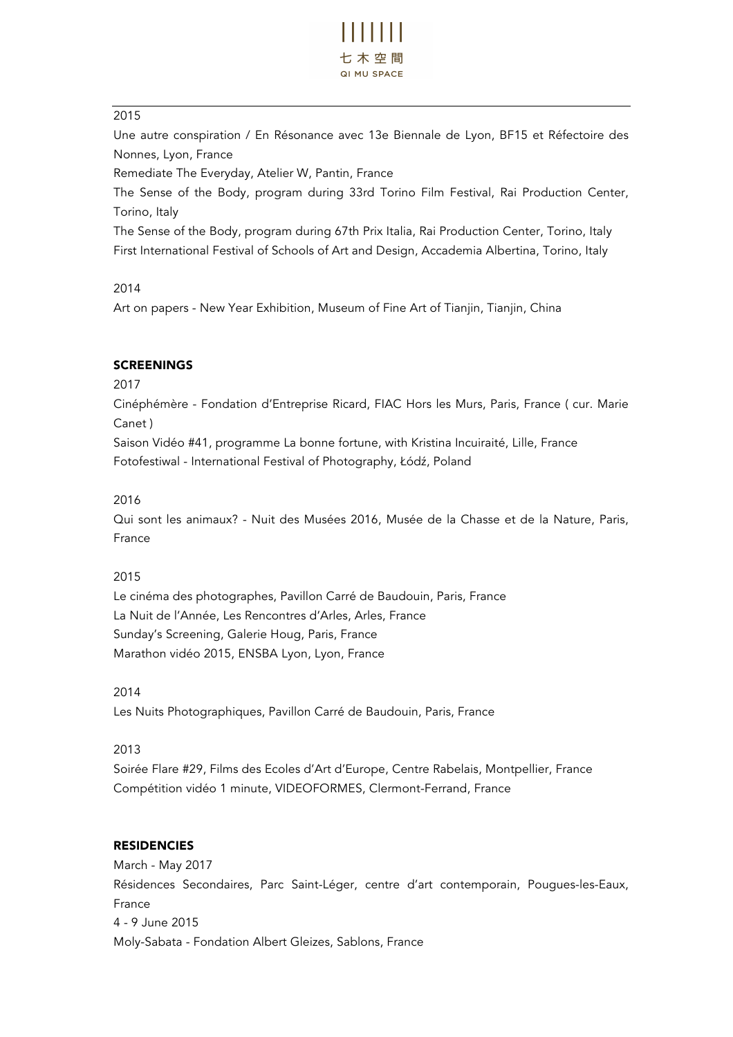

## 2015

Une autre conspiration / En Résonance avec 13e Biennale de Lyon, BF15 et Réfectoire des Nonnes, Lyon, France

Remediate The Everyday, Atelier W, Pantin, France

The Sense of the Body, program during 33rd Torino Film Festival, Rai Production Center, Torino, Italy

The Sense of the Body, program during 67th Prix Italia, Rai Production Center, Torino, Italy First International Festival of Schools of Art and Design, Accademia Albertina, Torino, Italy

## 2014

Art on papers - New Year Exhibition, Museum of Fine Art of Tianjin, Tianjin, China

## SCREENINGS

2017

Cinéphémère - Fondation d'Entreprise Ricard, FIAC Hors les Murs, Paris, France ( cur. Marie Canet )

Saison Vidéo #41, programme La bonne fortune, with Kristina Incuiraité, Lille, France Fotofestiwal - International Festival of Photography, Łódź, Poland

# 2016

Qui sont les animaux? - Nuit des Musées 2016, Musée de la Chasse et de la Nature, Paris, France

## 2015

Le cinéma des photographes, Pavillon Carré de Baudouin, Paris, France La Nuit de l'Année, Les Rencontres d'Arles, Arles, France Sunday's Screening, Galerie Houg, Paris, France Marathon vidéo 2015, ENSBA Lyon, Lyon, France

## 2014

Les Nuits Photographiques, Pavillon Carré de Baudouin, Paris, France

## 2013

Soirée Flare #29, Films des Ecoles d'Art d'Europe, Centre Rabelais, Montpellier, France Compétition vidéo 1 minute, VIDEOFORMES, Clermont-Ferrand, France

## **RESIDENCIES**

March - May 2017 Résidences Secondaires, Parc Saint-Léger, centre d'art contemporain, Pougues-les-Eaux, France 4 - 9 June 2015 Moly-Sabata - Fondation Albert Gleizes, Sablons, France